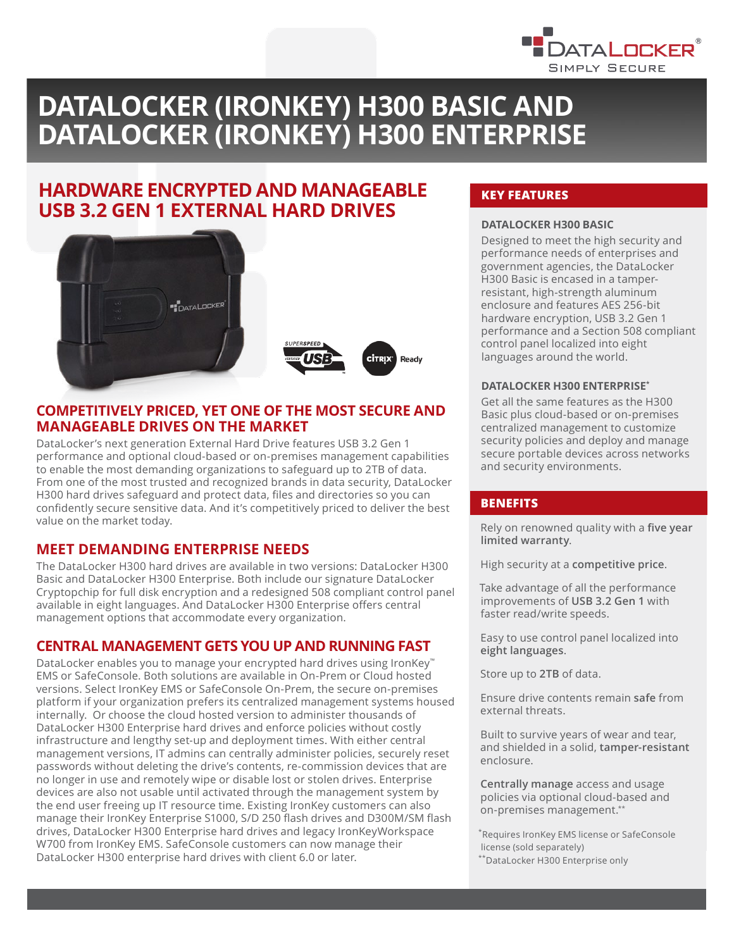

# **DATALOCKER (IRONKEY) H300 BASIC AND DATALOCKER (IRONKEY) H300 ENTERPRISE**

## **HARDWARE ENCRYPTED AND MANAGEABLE USB 3.2 GEN 1 EXTERNAL HARD DRIVES**



## **COMPETITIVELY PRICED, YET ONE OF THE MOST SECURE AND MANAGEABLE DRIVES ON THE MARKET**

DataLocker's next generation External Hard Drive features USB 3.2 Gen 1 performance and optional cloud-based or on-premises management capabilities to enable the most demanding organizations to safeguard up to 2TB of data. From one of the most trusted and recognized brands in data security, DataLocker H300 hard drives safeguard and protect data, files and directories so you can confidently secure sensitive data. And it's competitively priced to deliver the best value on the market today.

## **MEET DEMANDING ENTERPRISE NEEDS**

The DataLocker H300 hard drives are available in two versions: DataLocker H300 Basic and DataLocker H300 Enterprise. Both include our signature DataLocker Cryptopchip for full disk encryption and a redesigned 508 compliant control panel available in eight languages. And DataLocker H300 Enterprise offers central management options that accommodate every organization.

## **CENTRAL MANAGEMENT GETS YOU UP AND RUNNING FAST**

DataLocker enables you to manage your encrypted hard drives using IronKey™ EMS or SafeConsole. Both solutions are available in On-Prem or Cloud hosted versions. Select IronKey EMS or SafeConsole On-Prem, the secure on-premises platform if your organization prefers its centralized management systems housed internally. Or choose the cloud hosted version to administer thousands of DataLocker H300 Enterprise hard drives and enforce policies without costly infrastructure and lengthy set-up and deployment times. With either central management versions, IT admins can centrally administer policies, securely reset passwords without deleting the drive's contents, re-commission devices that are no longer in use and remotely wipe or disable lost or stolen drives. Enterprise devices are also not usable until activated through the management system by the end user freeing up IT resource time. Existing IronKey customers can also manage their IronKey Enterprise S1000, S/D 250 flash drives and D300M/SM flash drives, DataLocker H300 Enterprise hard drives and legacy IronKeyWorkspace W700 from IronKey EMS. SafeConsole customers can now manage their DataLocker H300 enterprise hard drives with client 6.0 or later.

## **KEY FEATURES**

#### **DATALOCKER H300 BASIC**

Designed to meet the high security and performance needs of enterprises and government agencies, the DataLocker H300 Basic is encased in a tamperresistant, high-strength aluminum enclosure and features AES 256-bit hardware encryption, USB 3.2 Gen 1 performance and a Section 508 compliant control panel localized into eight languages around the world.

#### **DATALOCKER H300 ENTERPRISE\***

Get all the same features as the H300 Basic plus cloud-based or on-premises centralized management to customize security policies and deploy and manage secure portable devices across networks and security environments.

#### **BENEFITS**

Rely on renowned quality with a **five year limited warranty**.

High security at a **competitive price**.

Take advantage of all the performance improvements of **USB 3.2 Gen 1** with faster read/write speeds.

Easy to use control panel localized into **eight languages**.

Store up to **2TB** of data.

Ensure drive contents remain **safe** from external threats.

Built to survive years of wear and tear, and shielded in a solid, **tamper-resistant**  enclosure.

**Centrally manage** access and usage policies via optional cloud-based and on-premises management.\*\*

\*Requires IronKey EMS license or SafeConsole license (sold separately) \*\*DataLocker H300 Enterprise only